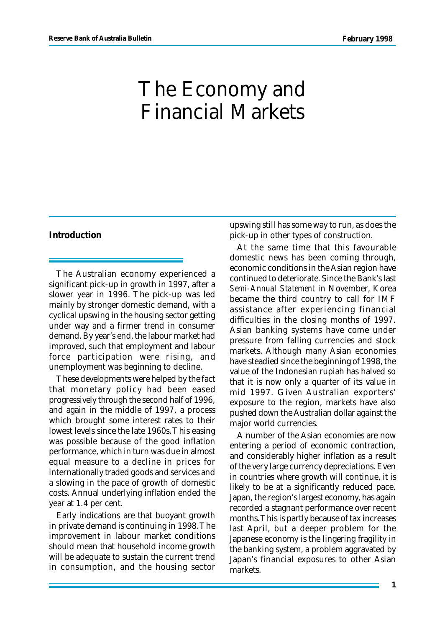# The Economy and Financial Markets

# **Introduction**

The Australian economy experienced a significant pick-up in growth in 1997, after a slower year in 1996. The pick-up was led mainly by stronger domestic demand, with a cyclical upswing in the housing sector getting under way and a firmer trend in consumer demand. By year's end, the labour market had improved, such that employment and labour force participation were rising, and unemployment was beginning to decline.

These developments were helped by the fact that monetary policy had been eased progressively through the second half of 1996, and again in the middle of 1997, a process which brought some interest rates to their lowest levels since the late 1960s. This easing was possible because of the good inflation performance, which in turn was due in almost equal measure to a decline in prices for internationally traded goods and services and a slowing in the pace of growth of domestic costs. Annual underlying inflation ended the year at 1.4 per cent.

Early indications are that buoyant growth in private demand is continuing in 1998. The improvement in labour market conditions should mean that household income growth will be adequate to sustain the current trend in consumption, and the housing sector upswing still has some way to run, as does the pick-up in other types of construction.

At the same time that this favourable domestic news has been coming through, economic conditions in the Asian region have continued to deteriorate. Since the Bank's last *Semi-Annual Statement* in November, Korea became the third country to call for IMF assistance after experiencing financial difficulties in the closing months of 1997. Asian banking systems have come under pressure from falling currencies and stock markets. Although many Asian economies have steadied since the beginning of 1998, the value of the Indonesian rupiah has halved so that it is now only a quarter of its value in mid 1997. Given Australian exporters' exposure to the region, markets have also pushed down the Australian dollar against the major world currencies.

A number of the Asian economies are now entering a period of economic contraction, and considerably higher inflation as a result of the very large currency depreciations. Even in countries where growth will continue, it is likely to be at a significantly reduced pace. Japan, the region's largest economy, has again recorded a stagnant performance over recent months. This is partly because of tax increases last April, but a deeper problem for the Japanese economy is the lingering fragility in the banking system, a problem aggravated by Japan's financial exposures to other Asian markets.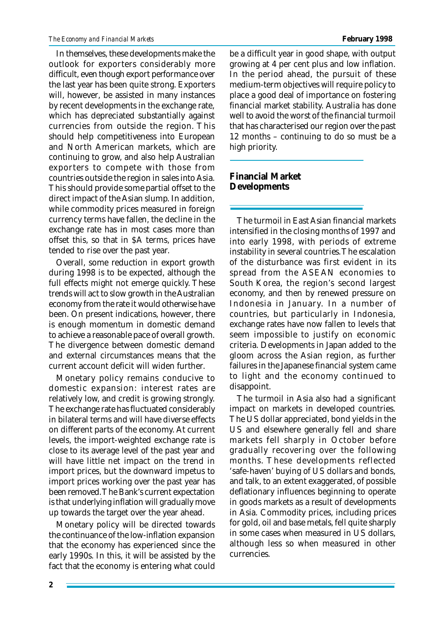In themselves, these developments make the outlook for exporters considerably more difficult, even though export performance over the last year has been quite strong. Exporters will, however, be assisted in many instances by recent developments in the exchange rate, which has depreciated substantially against currencies from outside the region. This should help competitiveness into European and North American markets, which are continuing to grow, and also help Australian exporters to compete with those from countries outside the region in sales into Asia. This should provide some partial offset to the direct impact of the Asian slump. In addition, while commodity prices measured in foreign currency terms have fallen, the decline in the exchange rate has in most cases more than offset this, so that in \$A terms, prices have tended to rise over the past year.

Overall, some reduction in export growth during 1998 is to be expected, although the full effects might not emerge quickly. These trends will act to slow growth in the Australian economy from the rate it would otherwise have been. On present indications, however, there is enough momentum in domestic demand to achieve a reasonable pace of overall growth. The divergence between domestic demand and external circumstances means that the current account deficit will widen further.

Monetary policy remains conducive to domestic expansion: interest rates are relatively low, and credit is growing strongly. The exchange rate has fluctuated considerably in bilateral terms and will have diverse effects on different parts of the economy. At current levels, the import-weighted exchange rate is close to its average level of the past year and will have little net impact on the trend in import prices, but the downward impetus to import prices working over the past year has been removed. The Bank's current expectation is that underlying inflation will gradually move up towards the target over the year ahead.

Monetary policy will be directed towards the continuance of the low-inflation expansion that the economy has experienced since the early 1990s. In this, it will be assisted by the fact that the economy is entering what could be a difficult year in good shape, with output growing at 4 per cent plus and low inflation. In the period ahead, the pursuit of these medium-term objectives will require policy to place a good deal of importance on fostering financial market stability. Australia has done well to avoid the worst of the financial turmoil that has characterised our region over the past 12 months – continuing to do so must be a high priority.

# **Financial Market Developments**

The turmoil in East Asian financial markets intensified in the closing months of 1997 and into early 1998, with periods of extreme instability in several countries. The escalation of the disturbance was first evident in its spread from the ASEAN economies to South Korea, the region's second largest economy, and then by renewed pressure on Indonesia in January. In a number of countries, but particularly in Indonesia, exchange rates have now fallen to levels that seem impossible to justify on economic criteria. Developments in Japan added to the gloom across the Asian region, as further failures in the Japanese financial system came to light and the economy continued to disappoint.

The turmoil in Asia also had a significant impact on markets in developed countries. The US dollar appreciated, bond yields in the US and elsewhere generally fell and share markets fell sharply in October before gradually recovering over the following months. These developments reflected 'safe-haven' buying of US dollars and bonds, and talk, to an extent exaggerated, of possible deflationary influences beginning to operate in goods markets as a result of developments in Asia. Commodity prices, including prices for gold, oil and base metals, fell quite sharply in some cases when measured in US dollars, although less so when measured in other currencies.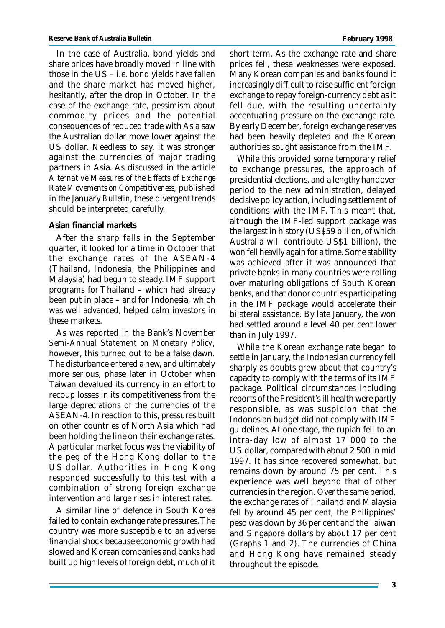In the case of Australia, bond yields and share prices have broadly moved in line with those in the US – i.e. bond yields have fallen and the share market has moved higher, hesitantly, after the drop in October. In the case of the exchange rate, pessimism about commodity prices and the potential consequences of reduced trade with Asia saw the Australian dollar move lower against the US dollar. Needless to say, it was stronger against the currencies of major trading partners in Asia. As discussed in the article *Alternative Measures of the Effects of Exchange Rate Movements on Competitiveness,* published in the January *Bulletin*, these divergent trends should be interpreted carefully.

# **Asian financial markets**

After the sharp falls in the September quarter, it looked for a time in October that the exchange rates of the ASEAN-4 (Thailand, Indonesia, the Philippines and Malaysia) had begun to steady. IMF support programs for Thailand – which had already been put in place – and for Indonesia, which was well advanced, helped calm investors in these markets.

As was reported in the Bank's November *Semi-Annual Statement on Monetary Policy*, however, this turned out to be a false dawn. The disturbance entered a new, and ultimately more serious, phase later in October when Taiwan devalued its currency in an effort to recoup losses in its competitiveness from the large depreciations of the currencies of the ASEAN-4. In reaction to this, pressures built on other countries of North Asia which had been holding the line on their exchange rates. A particular market focus was the viability of the peg of the Hong Kong dollar to the US dollar. Authorities in Hong Kong responded successfully to this test with a combination of strong foreign exchange intervention and large rises in interest rates.

A similar line of defence in South Korea failed to contain exchange rate pressures. The country was more susceptible to an adverse financial shock because economic growth had slowed and Korean companies and banks had built up high levels of foreign debt, much of it short term. As the exchange rate and share prices fell, these weaknesses were exposed. Many Korean companies and banks found it increasingly difficult to raise sufficient foreign exchange to repay foreign-currency debt as it fell due, with the resulting uncertainty accentuating pressure on the exchange rate. By early December, foreign exchange reserves had been heavily depleted and the Korean authorities sought assistance from the IMF.

While this provided some temporary relief to exchange pressures, the approach of presidential elections, and a lengthy handover period to the new administration, delayed decisive policy action, including settlement of conditions with the IMF. This meant that, although the IMF-led support package was the largest in history (US\$59 billion, of which Australia will contribute US\$1 billion), the won fell heavily again for a time. Some stability was achieved after it was announced that private banks in many countries were rolling over maturing obligations of South Korean banks, and that donor countries participating in the IMF package would accelerate their bilateral assistance. By late January, the won had settled around a level 40 per cent lower than in July 1997.

While the Korean exchange rate began to settle in January, the Indonesian currency fell sharply as doubts grew about that country's capacity to comply with the terms of its IMF package. Political circumstances including reports of the President's ill health were partly responsible, as was suspicion that the Indonesian budget did not comply with IMF guidelines. At one stage, the rupiah fell to an intra-day low of almost 17 000 to the US dollar, compared with about 2 500 in mid 1997. It has since recovered somewhat, but remains down by around 75 per cent. This experience was well beyond that of other currencies in the region. Over the same period, the exchange rates of Thailand and Malaysia fell by around 45 per cent, the Philippines' peso was down by 36 per cent and the Taiwan and Singapore dollars by about 17 per cent (Graphs 1 and 2). The currencies of China and Hong Kong have remained steady throughout the episode.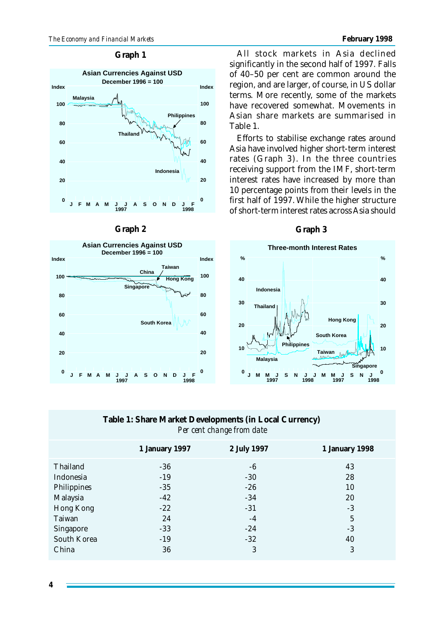## **Graph 1**





## **Graph 2**

All stock markets in Asia declined significantly in the second half of 1997. Falls of 40–50 per cent are common around the region, and are larger, of course, in US dollar terms. More recently, some of the markets have recovered somewhat. Movements in Asian share markets are summarised in Table 1.

Efforts to stabilise exchange rates around Asia have involved higher short-term interest rates (Graph 3). In the three countries receiving support from the IMF, short-term interest rates have increased by more than 10 percentage points from their levels in the first half of 1997. While the higher structure of short-term interest rates across Asia should

## **Graph 3**



# **Table 1: Share Market Developments (in Local Currency)** *Per cent change from date*

|                  | 1 January 1997 | 2 July 1997 | 1 January 1998 |
|------------------|----------------|-------------|----------------|
| Thailand         | $-36$          | -6          | 43             |
| Indonesia        | $-19$          | $-30$       | 28             |
| Philippines      | $-35$          | $-26$       | 10             |
| Malaysia         | $-42$          | $-34$       | 20             |
| Hong Kong        | $-22$          | $-31$       | $-3$           |
| Taiwan           | 24             | $-4$        | $\overline{5}$ |
| <b>Singapore</b> | $-33$          | $-24$       | $-3$           |
| South Korea      | $-19$          | $-32$       | 40             |
| China            | 36             | 3           | 3              |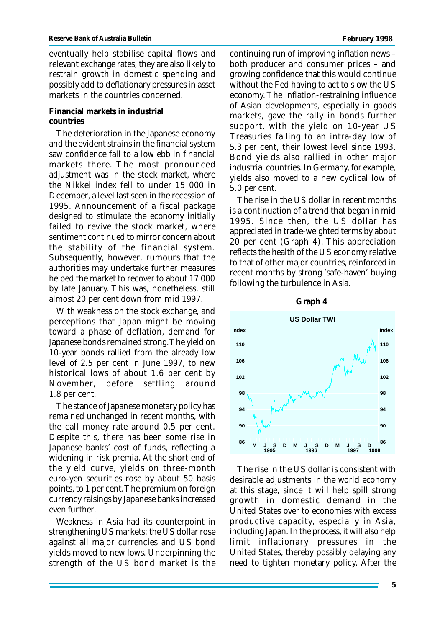eventually help stabilise capital flows and relevant exchange rates, they are also likely to restrain growth in domestic spending and possibly add to deflationary pressures in asset markets in the countries concerned.

# **Financial markets in industrial countries**

The deterioration in the Japanese economy and the evident strains in the financial system saw confidence fall to a low ebb in financial markets there. The most pronounced adjustment was in the stock market, where the Nikkei index fell to under 15 000 in December, a level last seen in the recession of 1995. Announcement of a fiscal package designed to stimulate the economy initially failed to revive the stock market, where sentiment continued to mirror concern about the stability of the financial system. Subsequently, however, rumours that the authorities may undertake further measures helped the market to recover to about 17 000 by late January. This was, nonetheless, still almost 20 per cent down from mid 1997.

With weakness on the stock exchange, and perceptions that Japan might be moving toward a phase of deflation, demand for Japanese bonds remained strong. The yield on 10-year bonds rallied from the already low level of 2.5 per cent in June 1997, to new historical lows of about 1.6 per cent by November, before settling around 1.8 per cent.

The stance of Japanese monetary policy has remained unchanged in recent months, with the call money rate around 0.5 per cent. Despite this, there has been some rise in Japanese banks' cost of funds, reflecting a widening in risk premia. At the short end of the yield curve, yields on three-month euro-yen securities rose by about 50 basis points, to 1 per cent. The premium on foreign currency raisings by Japanese banks increased even further.

Weakness in Asia had its counterpoint in strengthening US markets: the US dollar rose against all major currencies and US bond yields moved to new lows. Underpinning the strength of the US bond market is the continuing run of improving inflation news – both producer and consumer prices – and growing confidence that this would continue without the Fed having to act to slow the US economy. The inflation-restraining influence of Asian developments, especially in goods markets, gave the rally in bonds further support, with the yield on 10-year US Treasuries falling to an intra-day low of 5.3 per cent, their lowest level since 1993. Bond yields also rallied in other major industrial countries. In Germany, for example, yields also moved to a new cyclical low of 5.0 per cent.

The rise in the US dollar in recent months is a continuation of a trend that began in mid 1995. Since then, the US dollar has appreciated in trade-weighted terms by about 20 per cent (Graph 4). This appreciation reflects the health of the US economy relative to that of other major countries, reinforced in recent months by strong 'safe-haven' buying following the turbulence in Asia.



The rise in the US dollar is consistent with desirable adjustments in the world economy at this stage, since it will help spill strong growth in domestic demand in the United States over to economies with excess productive capacity, especially in Asia, including Japan. In the process, it will also help limit inflationary pressures in the United States, thereby possibly delaying any need to tighten monetary policy. After the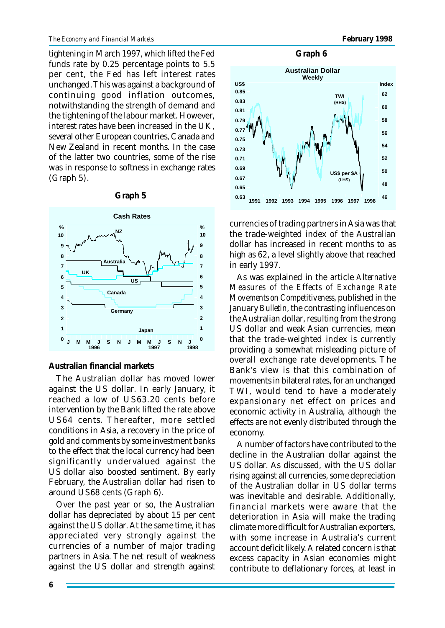tightening in March 1997, which lifted the Fed funds rate by 0.25 percentage points to 5.5 per cent, the Fed has left interest rates unchanged. This was against a background of continuing good inflation outcomes, notwithstanding the strength of demand and the tightening of the labour market. However, interest rates have been increased in the UK, several other European countries, Canada and New Zealand in recent months. In the case of the latter two countries, some of the rise was in response to softness in exchange rates (Graph 5).



#### **Graph 5**

**Australian financial markets**

The Australian dollar has moved lower against the US dollar. In early January, it reached a low of US63.20 cents before intervention by the Bank lifted the rate above US64 cents. Thereafter, more settled conditions in Asia, a recovery in the price of gold and comments by some investment banks to the effect that the local currency had been significantly undervalued against the US dollar also boosted sentiment. By early February, the Australian dollar had risen to around US68 cents (Graph 6).

Over the past year or so, the Australian dollar has depreciated by about 15 per cent against the US dollar. At the same time, it has appreciated very strongly against the currencies of a number of major trading partners in Asia. The net result of weakness against the US dollar and strength against





currencies of trading partners in Asia was that the trade-weighted index of the Australian dollar has increased in recent months to as high as 62, a level slightly above that reached in early 1997.

As was explained in the article *Alternative Measures of the Effects of Exchange Rate Movements on Competitiveness*, published in the January *Bulletin*, the contrasting influences on the Australian dollar, resulting from the strong US dollar and weak Asian currencies, mean that the trade-weighted index is currently providing a somewhat misleading picture of overall exchange rate developments. The Bank's view is that this combination of movements in bilateral rates, for an unchanged TWI, would tend to have a moderately expansionary net effect on prices and economic activity in Australia, although the effects are not evenly distributed through the economy.

A number of factors have contributed to the decline in the Australian dollar against the US dollar. As discussed, with the US dollar rising against all currencies, some depreciation of the Australian dollar in US dollar terms was inevitable and desirable. Additionally, financial markets were aware that the deterioration in Asia will make the trading climate more difficult for Australian exporters, with some increase in Australia's current account deficit likely. A related concern is that excess capacity in Asian economies might contribute to deflationary forces, at least in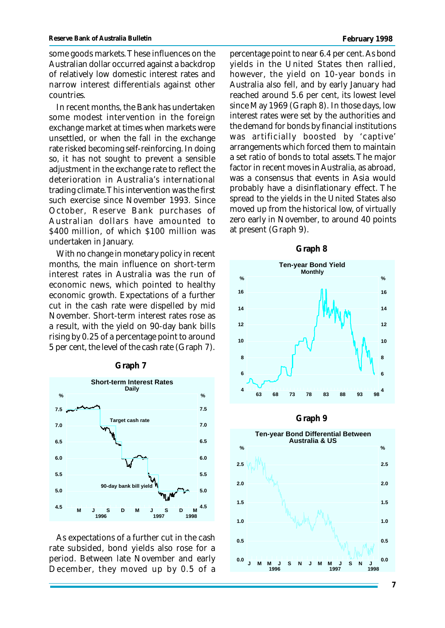some goods markets. These influences on the Australian dollar occurred against a backdrop of relatively low domestic interest rates and narrow interest differentials against other countries.

In recent months, the Bank has undertaken some modest intervention in the foreign exchange market at times when markets were unsettled, or when the fall in the exchange rate risked becoming self-reinforcing. In doing so, it has not sought to prevent a sensible adjustment in the exchange rate to reflect the deterioration in Australia's international trading climate. This intervention was the first such exercise since November 1993. Since October, Reserve Bank purchases of Australian dollars have amounted to \$400 million, of which \$100 million was undertaken in January.

With no change in monetary policy in recent months, the main influence on short-term interest rates in Australia was the run of economic news, which pointed to healthy economic growth. Expectations of a further cut in the cash rate were dispelled by mid November. Short-term interest rates rose as a result, with the yield on 90-day bank bills rising by 0.25 of a percentage point to around 5 per cent, the level of the cash rate (Graph 7).



**Graph 7**

As expectations of a further cut in the cash rate subsided, bond yields also rose for a period. Between late November and early December, they moved up by 0.5 of a percentage point to near 6.4 per cent. As bond yields in the United States then rallied, however, the yield on 10-year bonds in Australia also fell, and by early January had reached around 5.6 per cent, its lowest level since May 1969 (Graph 8). In those days, low interest rates were set by the authorities and the demand for bonds by financial institutions was artificially boosted by 'captive' arrangements which forced them to maintain a set ratio of bonds to total assets. The major factor in recent moves in Australia, as abroad, was a consensus that events in Asia would probably have a disinflationary effect. The spread to the yields in the United States also moved up from the historical low, of virtually zero early in November, to around 40 points at present (Graph 9).





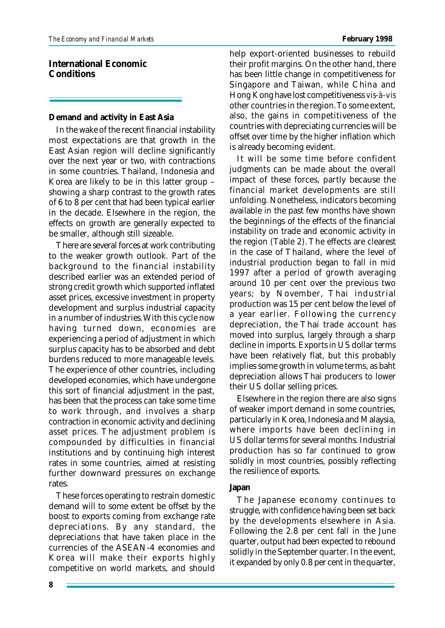**International Economic Conditions**

# **Demand and activity in East Asia**

In the wake of the recent financial instability most expectations are that growth in the East Asian region will decline significantly over the next year or two, with contractions in some countries. Thailand, Indonesia and Korea are likely to be in this latter group – showing a sharp contrast to the growth rates of 6 to 8 per cent that had been typical earlier in the decade. Elsewhere in the region, the effects on growth are generally expected to be smaller, although still sizeable.

There are several forces at work contributing to the weaker growth outlook. Part of the background to the financial instability described earlier was an extended period of strong credit growth which supported inflated asset prices, excessive investment in property development and surplus industrial capacity in a number of industries. With this cycle now having turned down, economies are experiencing a period of adjustment in which surplus capacity has to be absorbed and debt burdens reduced to more manageable levels. The experience of other countries, including developed economies, which have undergone this sort of financial adjustment in the past, has been that the process can take some time to work through, and involves a sharp contraction in economic activity and declining asset prices. The adjustment problem is compounded by difficulties in financial institutions and by continuing high interest rates in some countries, aimed at resisting further downward pressures on exchange rates.

These forces operating to restrain domestic demand will to some extent be offset by the boost to exports coming from exchange rate depreciations. By any standard, the depreciations that have taken place in the currencies of the ASEAN-4 economies and Korea will make their exports highly competitive on world markets, and should help export-oriented businesses to rebuild their profit margins. On the other hand, there has been little change in competitiveness for Singapore and Taiwan, while China and Hong Kong have lost competitiveness *vis-à-vis* other countries in the region. To some extent, also, the gains in competitiveness of the countries with depreciating currencies will be offset over time by the higher inflation which is already becoming evident.

It will be some time before confident judgments can be made about the overall impact of these forces, partly because the financial market developments are still unfolding. Nonetheless, indicators becoming available in the past few months have shown the beginnings of the effects of the financial instability on trade and economic activity in the region (Table 2). The effects are clearest in the case of Thailand, where the level of industrial production began to fall in mid 1997 after a period of growth averaging around 10 per cent over the previous two years; by November, Thai industrial production was 15 per cent below the level of a year earlier. Following the currency depreciation, the Thai trade account has moved into surplus, largely through a sharp decline in imports. Exports in US dollar terms have been relatively flat, but this probably implies some growth in volume terms, as baht depreciation allows Thai producers to lower their US dollar selling prices.

Elsewhere in the region there are also signs of weaker import demand in some countries, particularly in Korea, Indonesia and Malaysia, where imports have been declining in US dollar terms for several months. Industrial production has so far continued to grow solidly in most countries, possibly reflecting the resilience of exports.

# **Japan**

The Japanese economy continues to struggle, with confidence having been set back by the developments elsewhere in Asia. Following the 2.8 per cent fall in the June quarter, output had been expected to rebound solidly in the September quarter. In the event, it expanded by only 0.8 per cent in the quarter,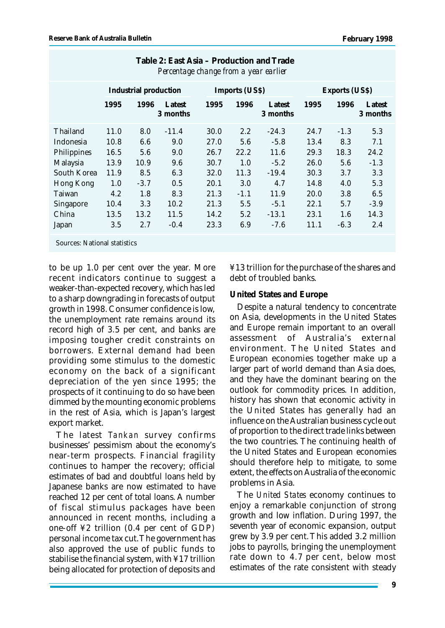|                                     | Industrial production |        |                    | Imports (US\$) |         |                    | Exports (US\$) |        |                    |
|-------------------------------------|-----------------------|--------|--------------------|----------------|---------|--------------------|----------------|--------|--------------------|
|                                     | 1995                  | 1996   | Latest<br>3 months | 1995           | 1996    | Latest<br>3 months | 1995           | 1996   | Latest<br>3 months |
| Thailand                            | 11.0                  | 8.0    | $-11.4$            | 30.0           | $2.2\,$ | $-24.3$            | 24.7           | $-1.3$ | 5.3                |
| Indonesia                           | 10.8                  | 6.6    | 9.0                | 27.0           | 5.6     | $-5.8$             | 13.4           | 8.3    | 7.1                |
| <b>Philippines</b>                  | 16.5                  | 5.6    | 9.0                | 26.7           | 22.2    | 11.6               | 29.3           | 18.3   | 24.2               |
| Malaysia                            | 13.9                  | 10.9   | 9.6                | 30.7           | 1.0     | $-5.2$             | 26.0           | 5.6    | $-1.3$             |
| South Korea                         | 11.9                  | 8.5    | 6.3                | 32.0           | 11.3    | $-19.4$            | 30.3           | 3.7    | 3.3                |
| Hong Kong                           | 1.0                   | $-3.7$ | 0.5                | 20.1           | 3.0     | 4.7                | 14.8           | 4.0    | 5.3                |
| Taiwan                              | 4.2                   | 1.8    | 8.3                | 21.3           | $-1.1$  | 11.9               | 20.0           | 3.8    | 6.5                |
| <b>Singapore</b>                    | 10.4                  | 3.3    | 10.2               | 21.3           | 5.5     | $-5.1$             | 22.1           | 5.7    | $-3.9$             |
| China                               | 13.5                  | 13.2   | 11.5               | 14.2           | 5.2     | $-13.1$            | 23.1           | 1.6    | 14.3               |
| Japan                               | 3.5                   | 2.7    | $-0.4$             | 23.3           | 6.9     | $-7.6$             | 11.1           | $-6.3$ | 2.4                |
| <b>Sources: National statistics</b> |                       |        |                    |                |         |                    |                |        |                    |

# **Table 2: East Asia – Production and Trade** *Percentage change from a year earlier*

to be up 1.0 per cent over the year. More recent indicators continue to suggest a weaker-than-expected recovery, which has led to a sharp downgrading in forecasts of output growth in 1998. Consumer confidence is low, the unemployment rate remains around its record high of 3.5 per cent, and banks are imposing tougher credit constraints on borrowers. External demand had been providing some stimulus to the domestic economy on the back of a significant depreciation of the yen since 1995; the prospects of it continuing to do so have been dimmed by the mounting economic problems in the rest of Asia, which is Japan's largest export market.

The latest *Tankan* survey confirms businesses' pessimism about the economy's near-term prospects. Financial fragility continues to hamper the recovery; official estimates of bad and doubtful loans held by Japanese banks are now estimated to have reached 12 per cent of total loans. A number of fiscal stimulus packages have been announced in recent months, including a one-off ¥2 trillion (0.4 per cent of GDP) personal income tax cut. The government has also approved the use of public funds to stabilise the financial system, with ¥17 trillion being allocated for protection of deposits and

¥13 trillion for the purchase of the shares and debt of troubled banks.

# **United States and Europe**

Despite a natural tendency to concentrate on Asia, developments in the United States and Europe remain important to an overall assessment of Australia's external environment. The United States and European economies together make up a larger part of world demand than Asia does, and they have the dominant bearing on the outlook for commodity prices. In addition, history has shown that economic activity in the United States has generally had an influence on the Australian business cycle out of proportion to the direct trade links between the two countries. The continuing health of the United States and European economies should therefore help to mitigate, to some extent, the effects on Australia of the economic problems in Asia.

The *United States* economy continues to enjoy a remarkable conjunction of strong growth and low inflation. During 1997, the seventh year of economic expansion, output grew by 3.9 per cent. This added 3.2 million jobs to payrolls, bringing the unemployment rate down to 4.7 per cent, below most estimates of the rate consistent with steady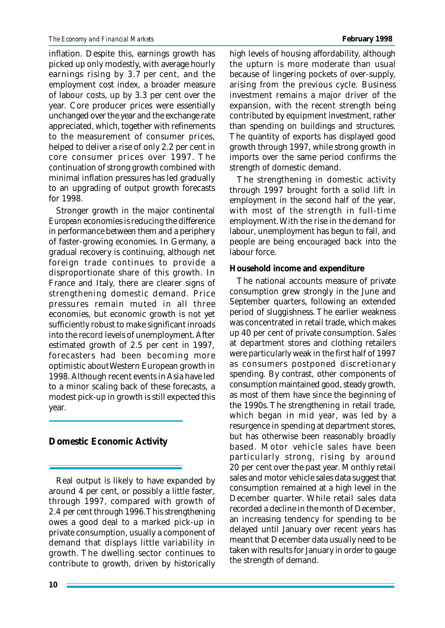inflation. Despite this, earnings growth has picked up only modestly, with average hourly earnings rising by 3.7 per cent, and the employment cost index, a broader measure of labour costs, up by 3.3 per cent over the year. Core producer prices were essentially unchanged over the year and the exchange rate appreciated, which, together with refinements to the measurement of consumer prices, helped to deliver a rise of only 2.2 per cent in core consumer prices over 1997. The continuation of strong growth combined with minimal inflation pressures has led gradually to an upgrading of output growth forecasts for 1998.

Stronger growth in the major continental *European* economies is reducing the difference in performance between them and a periphery of faster-growing economies. In Germany, a gradual recovery is continuing, although net foreign trade continues to provide a disproportionate share of this growth. In France and Italy, there are clearer signs of strengthening domestic demand. Price pressures remain muted in all three economies, but economic growth is not yet sufficiently robust to make significant inroads into the record levels of unemployment. After estimated growth of 2.5 per cent in 1997, forecasters had been becoming more optimistic about Western European growth in 1998. Although recent events in Asia have led to a minor scaling back of these forecasts, a modest pick-up in growth is still expected this year.

# **Domestic Economic Activity**

Real output is likely to have expanded by around 4 per cent, or possibly a little faster, through 1997, compared with growth of 2.4 per cent through 1996. This strengthening owes a good deal to a marked pick-up in private consumption, usually a component of demand that displays little variability in growth. The dwelling sector continues to contribute to growth, driven by historically

high levels of housing affordability, although the upturn is more moderate than usual because of lingering pockets of over-supply, arising from the previous cycle. Business investment remains a major driver of the expansion, with the recent strength being contributed by equipment investment, rather than spending on buildings and structures. The quantity of exports has displayed good growth through 1997, while strong growth in imports over the same period confirms the strength of domestic demand.

The strengthening in domestic activity through 1997 brought forth a solid lift in employment in the second half of the year, with most of the strength in full-time employment. With the rise in the demand for labour, unemployment has begun to fall, and people are being encouraged back into the labour force.

# **Household income and expenditure**

The national accounts measure of private consumption grew strongly in the June and September quarters, following an extended period of sluggishness. The earlier weakness was concentrated in retail trade, which makes up 40 per cent of private consumption. Sales at department stores and clothing retailers were particularly weak in the first half of 1997 as consumers postponed discretionary spending. By contrast, other components of consumption maintained good, steady growth, as most of them have since the beginning of the 1990s. The strengthening in retail trade, which began in mid year, was led by a resurgence in spending at department stores, but has otherwise been reasonably broadly based. Motor vehicle sales have been particularly strong, rising by around 20 per cent over the past year. Monthly retail sales and motor vehicle sales data suggest that consumption remained at a high level in the December quarter. While retail sales data recorded a decline in the month of December, an increasing tendency for spending to be delayed until January over recent years has meant that December data usually need to be taken with results for January in order to gauge the strength of demand.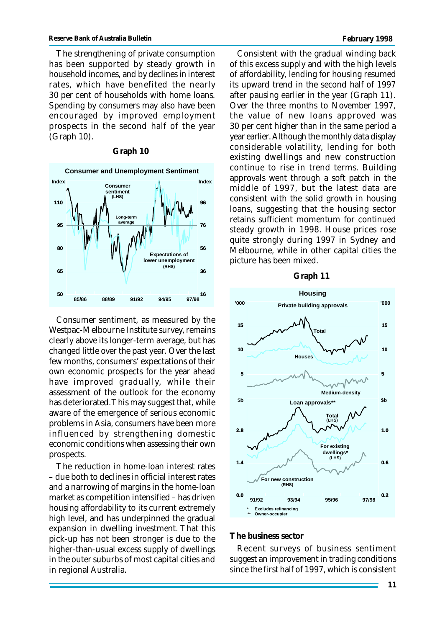The strengthening of private consumption has been supported by steady growth in household incomes, and by declines in interest rates, which have benefited the nearly 30 per cent of households with home loans. Spending by consumers may also have been encouraged by improved employment prospects in the second half of the year (Graph 10).

## **Graph 10**



Consumer sentiment, as measured by the Westpac-Melbourne Institute survey, remains clearly above its longer-term average, but has changed little over the past year. Over the last few months, consumers' expectations of their own economic prospects for the year ahead have improved gradually, while their assessment of the outlook for the economy has deteriorated. This may suggest that, while aware of the emergence of serious economic problems in Asia, consumers have been more influenced by strengthening domestic economic conditions when assessing their own prospects.

The reduction in home-loan interest rates – due both to declines in official interest rates and a narrowing of margins in the home-loan market as competition intensified – has driven housing affordability to its current extremely high level, and has underpinned the gradual expansion in dwelling investment. That this pick-up has not been stronger is due to the higher-than-usual excess supply of dwellings in the outer suburbs of most capital cities and in regional Australia.

Consistent with the gradual winding back of this excess supply and with the high levels of affordability, lending for housing resumed its upward trend in the second half of 1997 after pausing earlier in the year (Graph 11). Over the three months to November 1997, the value of new loans approved was 30 per cent higher than in the same period a year earlier. Although the monthly data display considerable volatility, lending for both existing dwellings and new construction continue to rise in trend terms. Building approvals went through a soft patch in the middle of 1997, but the latest data are consistent with the solid growth in housing loans, suggesting that the housing sector retains sufficient momentum for continued steady growth in 1998. House prices rose quite strongly during 1997 in Sydney and Melbourne, while in other capital cities the picture has been mixed.

#### **Graph 11**



#### **The business sector**

Recent surveys of business sentiment suggest an improvement in trading conditions since the first half of 1997, which is consistent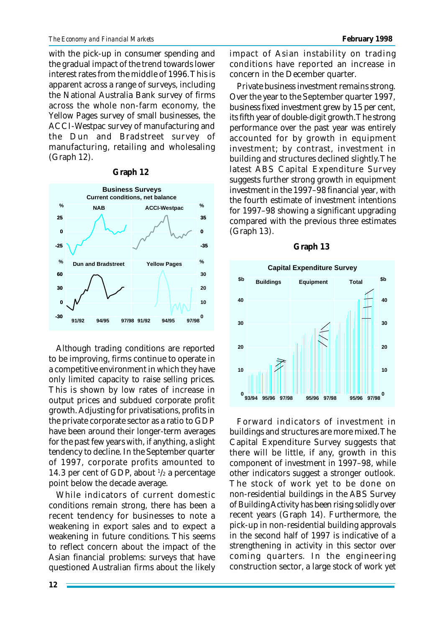with the pick-up in consumer spending and the gradual impact of the trend towards lower interest rates from the middle of 1996. This is apparent across a range of surveys, including the National Australia Bank survey of firms across the whole non-farm economy, the Yellow Pages survey of small businesses, the ACCI-Westpac survey of manufacturing and the Dun and Bradstreet survey of manufacturing, retailing and wholesaling (Graph 12).

#### **Graph 12**



Although trading conditions are reported to be improving, firms continue to operate in a competitive environment in which they have only limited capacity to raise selling prices. This is shown by low rates of increase in output prices and subdued corporate profit growth. Adjusting for privatisations, profits in the private corporate sector as a ratio to GDP have been around their longer-term averages for the past few years with, if anything, a slight tendency to decline. In the September quarter of 1997, corporate profits amounted to 14.3 per cent of GDP, about  $\frac{1}{2}$  a percentage point below the decade average.

While indicators of current domestic conditions remain strong, there has been a recent tendency for businesses to note a weakening in export sales and to expect a weakening in future conditions. This seems to reflect concern about the impact of the Asian financial problems: surveys that have questioned Australian firms about the likely

impact of Asian instability on trading conditions have reported an increase in concern in the December quarter.

Private business investment remains strong. Over the year to the September quarter 1997, business fixed investment grew by 15 per cent, its fifth year of double-digit growth. The strong performance over the past year was entirely accounted for by growth in equipment investment; by contrast, investment in building and structures declined slightly. The latest ABS Capital Expenditure Survey suggests further strong growth in equipment investment in the 1997–98 financial year, with the fourth estimate of investment intentions for 1997–98 showing a significant upgrading compared with the previous three estimates (Graph 13).

# $0^{111}_{93/94}$ **10 20 30 40 Capital Expenditure Survey 0 10 20 30 40 \$b \$b Buildings Equipment Total 93/94 95/96 97/98 95/96 97/98 97/9895/96**

Forward indicators of investment in buildings and structures are more mixed. The Capital Expenditure Survey suggests that there will be little, if any, growth in this component of investment in 1997–98, while other indicators suggest a stronger outlook. The stock of work yet to be done on non-residential buildings in the ABS Survey of Building Activity has been rising solidly over recent years (Graph 14). Furthermore, the pick-up in non-residential building approvals in the second half of 1997 is indicative of a strengthening in activity in this sector over coming quarters. In the engineering construction sector, a large stock of work yet

## **Graph 13**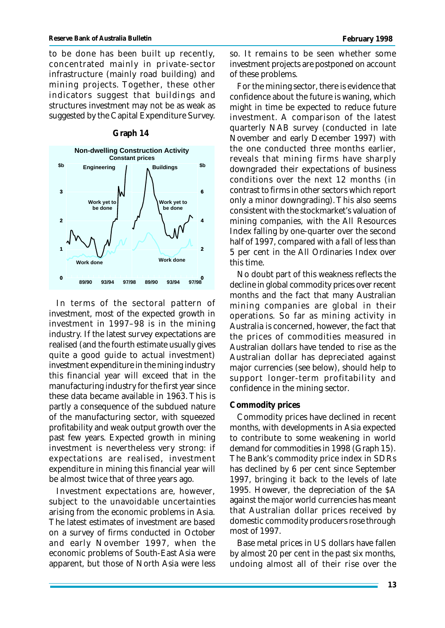to be done has been built up recently, concentrated mainly in private-sector infrastructure (mainly road building) and mining projects. Together, these other indicators suggest that buildings and structures investment may not be as weak as suggested by the Capital Expenditure Survey.



## **Graph 14**

In terms of the sectoral pattern of investment, most of the expected growth in investment in 1997–98 is in the mining industry. If the latest survey expectations are realised (and the fourth estimate usually gives quite a good guide to actual investment) investment expenditure in the mining industry this financial year will exceed that in the manufacturing industry for the first year since these data became available in 1963. This is partly a consequence of the subdued nature of the manufacturing sector, with squeezed profitability and weak output growth over the past few years. Expected growth in mining investment is nevertheless very strong: if expectations are realised, investment expenditure in mining this financial year will be almost twice that of three years ago.

Investment expectations are, however, subject to the unavoidable uncertainties arising from the economic problems in Asia. The latest estimates of investment are based on a survey of firms conducted in October and early November 1997, when the economic problems of South-East Asia were apparent, but those of North Asia were less so. It remains to be seen whether some investment projects are postponed on account of these problems.

For the mining sector, there is evidence that confidence about the future is waning, which might in time be expected to reduce future investment. A comparison of the latest quarterly NAB survey (conducted in late November and early December 1997) with the one conducted three months earlier, reveals that mining firms have sharply downgraded their expectations of business conditions over the next 12 months (in contrast to firms in other sectors which report only a minor downgrading). This also seems consistent with the stockmarket's valuation of mining companies, with the All Resources Index falling by one-quarter over the second half of 1997, compared with a fall of less than 5 per cent in the All Ordinaries Index over this time.

No doubt part of this weakness reflects the decline in global commodity prices over recent months and the fact that many Australian mining companies are global in their operations. So far as mining activity in Australia is concerned, however, the fact that the prices of commodities measured in Australian dollars have tended to rise as the Australian dollar has depreciated against major currencies (see below), should help to support longer-term profitability and confidence in the mining sector.

## **Commodity prices**

Commodity prices have declined in recent months, with developments in Asia expected to contribute to some weakening in world demand for commodities in 1998 (Graph 15). The Bank's commodity price index in SDRs has declined by 6 per cent since September 1997, bringing it back to the levels of late 1995. However, the depreciation of the \$A against the major world currencies has meant that Australian dollar prices received by domestic commodity producers rose through most of 1997.

Base metal prices in US dollars have fallen by almost 20 per cent in the past six months, undoing almost all of their rise over the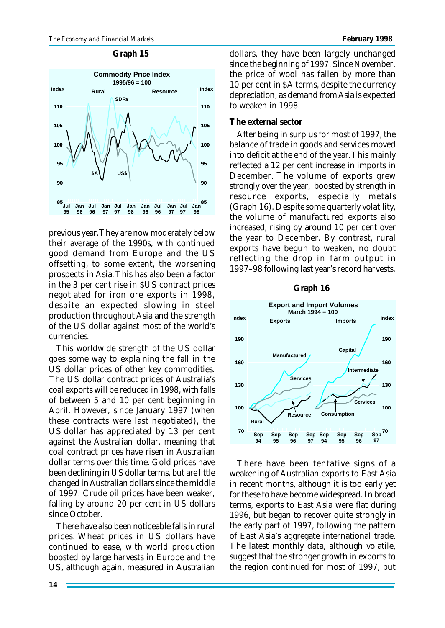#### **Graph 15**



previous year. They are now moderately below their average of the 1990s, with continued good demand from Europe and the US offsetting, to some extent, the worsening prospects in Asia. This has also been a factor in the 3 per cent rise in \$US contract prices negotiated for iron ore exports in 1998, despite an expected slowing in steel production throughout Asia and the strength of the US dollar against most of the world's currencies.

This worldwide strength of the US dollar goes some way to explaining the fall in the US dollar prices of other key commodities. The US dollar contract prices of Australia's coal exports will be reduced in 1998, with falls of between 5 and 10 per cent beginning in April. However, since January 1997 (when these contracts were last negotiated), the US dollar has appreciated by 13 per cent against the Australian dollar, meaning that coal contract prices have risen in Australian dollar terms over this time. Gold prices have been declining in US dollar terms, but are little changed in Australian dollars since the middle of 1997. Crude oil prices have been weaker, falling by around 20 per cent in US dollars since October.

There have also been noticeable falls in rural prices. Wheat prices in US dollars have continued to ease, with world production boosted by large harvests in Europe and the US, although again, measured in Australian

dollars, they have been largely unchanged since the beginning of 1997. Since November, the price of wool has fallen by more than 10 per cent in \$A terms, despite the currency depreciation, as demand from Asia is expected to weaken in 1998.

## **The external sector**

After being in surplus for most of 1997, the balance of trade in goods and services moved into deficit at the end of the year. This mainly reflected a 12 per cent increase in imports in December. The volume of exports grew strongly over the year, boosted by strength in resource exports, especially metals (Graph 16). Despite some quarterly volatility, the volume of manufactured exports also increased, rising by around 10 per cent over the year to December. By contrast, rural exports have begun to weaken, no doubt reflecting the drop in farm output in 1997–98 following last year's record harvests.

#### **Graph 16**



There have been tentative signs of a weakening of Australian exports to East Asia in recent months, although it is too early yet for these to have become widespread. In broad terms, exports to East Asia were flat during 1996, but began to recover quite strongly in the early part of 1997, following the pattern of East Asia's aggregate international trade. The latest monthly data, although volatile, suggest that the stronger growth in exports to the region continued for most of 1997, but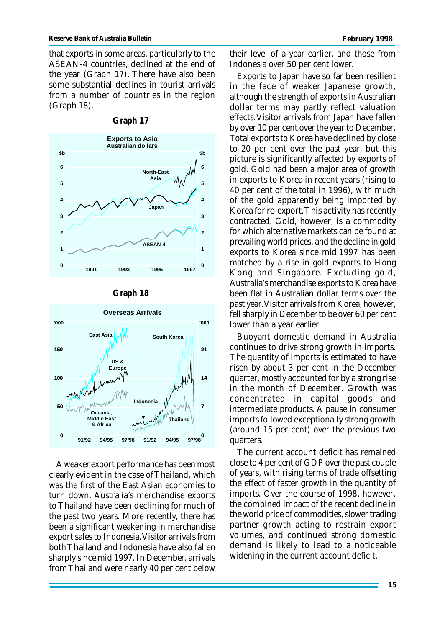that exports in some areas, particularly to the ASEAN-4 countries, declined at the end of the year (Graph 17). There have also been some substantial declines in tourist arrivals from a number of countries in the region (Graph 18).



## **Graph 17**

#### **Graph 18**



A weaker export performance has been most clearly evident in the case of Thailand, which was the first of the East Asian economies to turn down. Australia's merchandise exports to Thailand have been declining for much of the past two years. More recently, there has been a significant weakening in merchandise export sales to Indonesia. Visitor arrivals from both Thailand and Indonesia have also fallen sharply since mid 1997. In December, arrivals from Thailand were nearly 40 per cent below

their level of a year earlier, and those from Indonesia over 50 per cent lower.

Exports to Japan have so far been resilient in the face of weaker Japanese growth, although the strength of exports in Australian dollar terms may partly reflect valuation effects. Visitor arrivals from Japan have fallen by over 10 per cent over the year to December. Total exports to Korea have declined by close to 20 per cent over the past year, but this picture is significantly affected by exports of gold. Gold had been a major area of growth in exports to Korea in recent years (rising to 40 per cent of the total in 1996), with much of the gold apparently being imported by Korea for re-export. This activity has recently contracted. Gold, however, is a commodity for which alternative markets can be found at prevailing world prices, and the decline in gold exports to Korea since mid 1997 has been matched by a rise in gold exports to Hong Kong and Singapore. Excluding gold, Australia's merchandise exports to Korea have been flat in Australian dollar terms over the past year. Visitor arrivals from Korea, however, fell sharply in December to be over 60 per cent lower than a year earlier.

Buoyant domestic demand in Australia continues to drive strong growth in imports. The quantity of imports is estimated to have risen by about 3 per cent in the December quarter, mostly accounted for by a strong rise in the month of December. Growth was concentrated in capital goods and intermediate products. A pause in consumer imports followed exceptionally strong growth (around 15 per cent) over the previous two quarters.

The current account deficit has remained close to 4 per cent of GDP over the past couple of years, with rising terms of trade offsetting the effect of faster growth in the quantity of imports. Over the course of 1998, however, the combined impact of the recent decline in the world price of commodities, slower trading partner growth acting to restrain export volumes, and continued strong domestic demand is likely to lead to a noticeable widening in the current account deficit.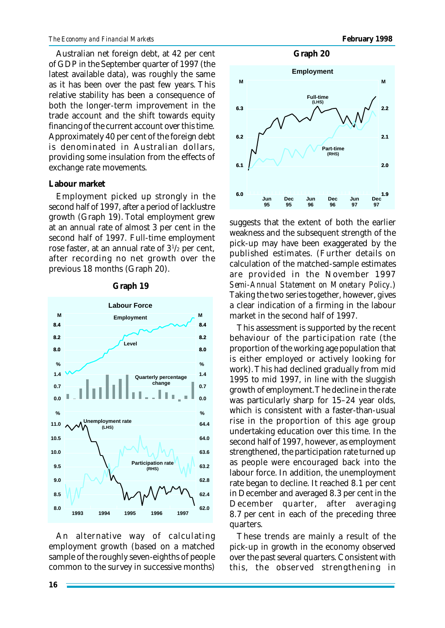#### *The Economy and Financial Markets* **February 1998**

Australian net foreign debt, at 42 per cent of GDP in the September quarter of 1997 (the latest available data), was roughly the same as it has been over the past few years. This relative stability has been a consequence of both the longer-term improvement in the trade account and the shift towards equity financing of the current account over this time. Approximately 40 per cent of the foreign debt is denominated in Australian dollars, providing some insulation from the effects of exchange rate movements.

## **Labour market**

Employment picked up strongly in the second half of 1997, after a period of lacklustre growth (Graph 19). Total employment grew at an annual rate of almost 3 per cent in the second half of 1997. Full-time employment rose faster, at an annual rate of 3<sup>1</sup> /2 per cent, after recording no net growth over the previous 18 months (Graph 20).



#### **Graph 19**

An alternative way of calculating employment growth (based on a matched sample of the roughly seven-eighths of people common to the survey in successive months)



suggests that the extent of both the earlier weakness and the subsequent strength of the pick-up may have been exaggerated by the published estimates. (Further details on calculation of the matched-sample estimates are provided in the November 1997 *Semi-Annual Statement on Monetary Policy*.) Taking the two series together, however, gives a clear indication of a firming in the labour market in the second half of 1997.

This assessment is supported by the recent behaviour of the participation rate (the proportion of the working age population that is either employed or actively looking for work). This had declined gradually from mid 1995 to mid 1997, in line with the sluggish growth of employment. The decline in the rate was particularly sharp for 15–24 year olds, which is consistent with a faster-than-usual rise in the proportion of this age group undertaking education over this time. In the second half of 1997, however, as employment strengthened, the participation rate turned up as people were encouraged back into the labour force. In addition, the unemployment rate began to decline. It reached 8.1 per cent in December and averaged 8.3 per cent in the December quarter, after averaging 8.7 per cent in each of the preceding three quarters.

These trends are mainly a result of the pick-up in growth in the economy observed over the past several quarters. Consistent with this, the observed strengthening in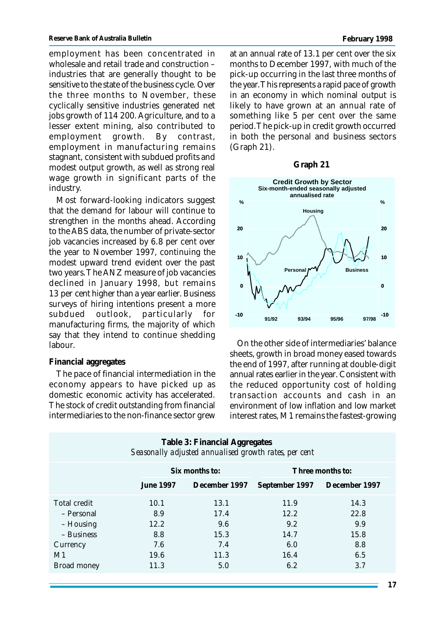employment has been concentrated in wholesale and retail trade and construction – industries that are generally thought to be sensitive to the state of the business cycle. Over the three months to November, these cyclically sensitive industries generated net jobs growth of 114 200. Agriculture, and to a lesser extent mining, also contributed to employment growth. By contrast, employment in manufacturing remains stagnant, consistent with subdued profits and modest output growth, as well as strong real wage growth in significant parts of the industry.

Most forward-looking indicators suggest that the demand for labour will continue to strengthen in the months ahead. According to the ABS data, the number of private-sector job vacancies increased by 6.8 per cent over the year to November 1997, continuing the modest upward trend evident over the past two years. The ANZ measure of job vacancies declined in January 1998, but remains 13 per cent higher than a year earlier. Business surveys of hiring intentions present a more subdued outlook, particularly for manufacturing firms, the majority of which say that they intend to continue shedding labour.

# **Financial aggregates**

The pace of financial intermediation in the economy appears to have picked up as domestic economic activity has accelerated. The stock of credit outstanding from financial intermediaries to the non-finance sector grew at an annual rate of 13.1 per cent over the six months to December 1997, with much of the pick-up occurring in the last three months of the year. This represents a rapid pace of growth in an economy in which nominal output is likely to have grown at an annual rate of something like 5 per cent over the same period. The pick-up in credit growth occurred in both the personal and business sectors (Graph 21).

## **Graph 21**



On the other side of intermediaries' balance sheets, growth in broad money eased towards the end of 1997, after running at double-digit annual rates earlier in the year. Consistent with the reduced opportunity cost of holding transaction accounts and cash in an environment of low inflation and low market interest rates, M1 remains the fastest-growing

| Six months to:                            |                                                   | Three months to:                                  |                                                  |  |
|-------------------------------------------|---------------------------------------------------|---------------------------------------------------|--------------------------------------------------|--|
| <b>June 1997</b>                          | December 1997                                     |                                                   | September 1997 December 1997                     |  |
| 10.1<br>8.9<br>12.2<br>8.8<br>7.6<br>19.6 | 13.1<br>17.4<br>9.6<br>15.3<br>7.4<br>11.3<br>5.0 | 11.9<br>12.2<br>9.2<br>14.7<br>6.0<br>16.4<br>6.2 | 14.3<br>22.8<br>9.9<br>15.8<br>8.8<br>6.5<br>3.7 |  |
|                                           | 11.3                                              |                                                   |                                                  |  |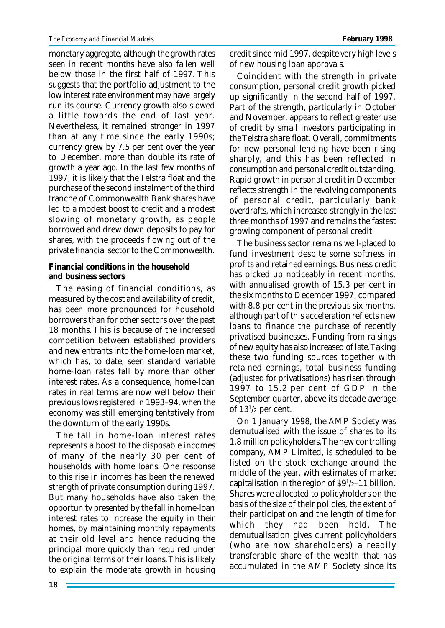monetary aggregate, although the growth rates seen in recent months have also fallen well below those in the first half of 1997. This suggests that the portfolio adjustment to the low interest rate environment may have largely run its course. Currency growth also slowed a little towards the end of last year. Nevertheless, it remained stronger in 1997 than at any time since the early 1990s; currency grew by 7.5 per cent over the year to December, more than double its rate of growth a year ago. In the last few months of 1997, it is likely that the Telstra float and the purchase of the second instalment of the third tranche of Commonwealth Bank shares have led to a modest boost to credit and a modest slowing of monetary growth, as people borrowed and drew down deposits to pay for shares, with the proceeds flowing out of the private financial sector to the Commonwealth.

**Financial conditions in the household and business sectors**

The easing of financial conditions, as measured by the cost and availability of credit, has been more pronounced for household borrowers than for other sectors over the past 18 months. This is because of the increased competition between established providers and new entrants into the home-loan market, which has, to date, seen standard variable home-loan rates fall by more than other interest rates. As a consequence, home-loan rates in real terms are now well below their previous lows registered in 1993–94, when the economy was still emerging tentatively from the downturn of the early 1990s.

The fall in home-loan interest rates represents a boost to the disposable incomes of many of the nearly 30 per cent of households with home loans. One response to this rise in incomes has been the renewed strength of private consumption during 1997. But many households have also taken the opportunity presented by the fall in home-loan interest rates to increase the equity in their homes, by maintaining monthly repayments at their old level and hence reducing the principal more quickly than required under the original terms of their loans. This is likely to explain the moderate growth in housing

credit since mid 1997, despite very high levels of new housing loan approvals.

Coincident with the strength in private consumption, personal credit growth picked up significantly in the second half of 1997. Part of the strength, particularly in October and November, appears to reflect greater use of credit by small investors participating in the Telstra share float. Overall, commitments for new personal lending have been rising sharply, and this has been reflected in consumption and personal credit outstanding. Rapid growth in personal credit in December reflects strength in the revolving components of personal credit, particularly bank overdrafts, which increased strongly in the last three months of 1997 and remains the fastest growing component of personal credit.

The business sector remains well-placed to fund investment despite some softness in profits and retained earnings. Business credit has picked up noticeably in recent months, with annualised growth of 15.3 per cent in the six months to December 1997, compared with 8.8 per cent in the previous six months, although part of this acceleration reflects new loans to finance the purchase of recently privatised businesses. Funding from raisings of new equity has also increased of late. Taking these two funding sources together with retained earnings, total business funding (adjusted for privatisations) has risen through 1997 to 15.2 per cent of GDP in the September quarter, above its decade average of 13<sup>1</sup> /2 per cent.

On 1 January 1998, the AMP Society was demutualised with the issue of shares to its 1.8 million policyholders. The new controlling company, AMP Limited, is scheduled to be listed on the stock exchange around the middle of the year, with estimates of market capitalisation in the region of  $\frac{91}{2} - 11$  billion. Shares were allocated to policyholders on the basis of the size of their policies, the extent of their participation and the length of time for which they had been held. The demutualisation gives current policyholders (who are now shareholders) a readily transferable share of the wealth that has accumulated in the AMP Society since its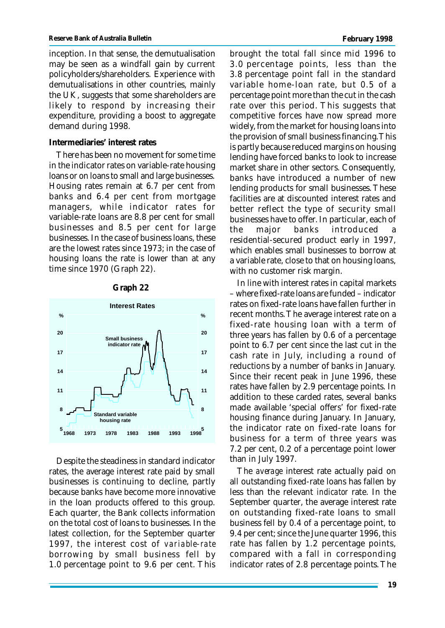inception. In that sense, the demutualisation may be seen as a windfall gain by current policyholders/shareholders. Experience with demutualisations in other countries, mainly the UK, suggests that some shareholders are likely to respond by increasing their expenditure, providing a boost to aggregate demand during 1998.

## **Intermediaries' interest rates**

There has been no movement for some time in the indicator rates on variable-rate housing loans or on loans to small and large businesses. Housing rates remain at 6.7 per cent from banks and 6.4 per cent from mortgage managers, while indicator rates for variable-rate loans are 8.8 per cent for small businesses and 8.5 per cent for large businesses. In the case of business loans, these are the lowest rates since 1973; in the case of housing loans the rate is lower than at any time since 1970 (Graph 22).





Despite the steadiness in standard indicator rates, the average interest rate paid by small businesses is continuing to decline, partly because banks have become more innovative in the loan products offered to this group. Each quarter, the Bank collects information on the total cost of loans to businesses. In the latest collection, for the September quarter 1997, the interest cost of *variable-rate* borrowing by small business fell by 1.0 percentage point to 9.6 per cent. This

brought the total fall since mid 1996 to 3.0 percentage points, less than the 3.8 percentage point fall in the standard variable home-loan rate, but 0.5 of a percentage point more than the cut in the cash rate over this period. This suggests that competitive forces have now spread more widely, from the market for housing loans into the provision of small business financing. This is partly because reduced margins on housing lending have forced banks to look to increase market share in other sectors. Consequently, banks have introduced a number of new lending products for small businesses. These facilities are at discounted interest rates and better reflect the type of security small businesses have to offer. In particular, each of the major banks introduced a residential-secured product early in 1997, which enables small businesses to borrow at a variable rate, close to that on housing loans, with no customer risk margin.

In line with interest rates in capital markets – where fixed-rate loans are funded – indicator rates on fixed-rate loans have fallen further in recent months. The average interest rate on a fixed-rate housing loan with a term of three years has fallen by 0.6 of a percentage point to 6.7 per cent since the last cut in the cash rate in July, including a round of reductions by a number of banks in January. Since their recent peak in June 1996, these rates have fallen by 2.9 percentage points. In addition to these carded rates, several banks made available 'special offers' for fixed-rate housing finance during January. In January, the indicator rate on fixed-rate loans for business for a term of three years was 7.2 per cent, 0.2 of a percentage point lower than in July 1997.

The *average* interest rate actually paid on all outstanding fixed-rate loans has fallen by less than the relevant *indicator* rate. In the September quarter, the average interest rate on outstanding fixed-rate loans to small business fell by 0.4 of a percentage point, to 9.4 per cent; since the June quarter 1996, this rate has fallen by 1.2 percentage points, compared with a fall in corresponding indicator rates of 2.8 percentage points. The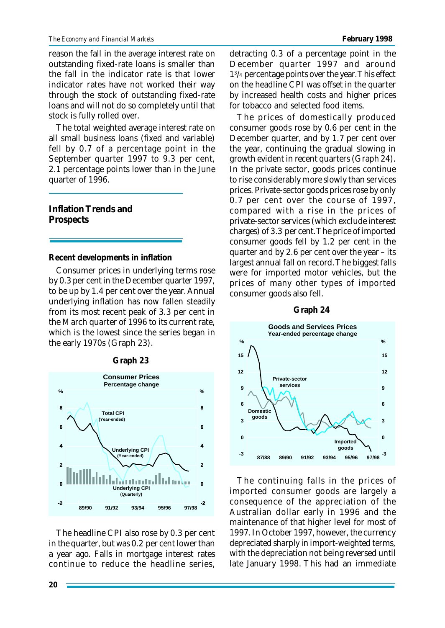reason the fall in the average interest rate on outstanding fixed-rate loans is smaller than the fall in the indicator rate is that lower indicator rates have not worked their way through the stock of outstanding fixed-rate loans and will not do so completely until that stock is fully rolled over.

The total weighted average interest rate on all small business loans (fixed and variable) fell by 0.7 of a percentage point in the September quarter 1997 to 9.3 per cent, 2.1 percentage points lower than in the June quarter of 1996.

**Inflation Trends and Prospects**

**Recent developments in inflation**

Consumer prices in underlying terms rose by 0.3 per cent in the December quarter 1997, to be up by 1.4 per cent over the year. Annual underlying inflation has now fallen steadily from its most recent peak of 3.3 per cent in the March quarter of 1996 to its current rate, which is the lowest since the series began in the early 1970s (Graph 23).



The headline CPI also rose by 0.3 per cent in the quarter, but was 0.2 per cent lower than a year ago. Falls in mortgage interest rates continue to reduce the headline series, detracting 0.3 of a percentage point in the December quarter 1997 and around 1 3 /4 percentage points over the year. This effect on the headline CPI was offset in the quarter by increased health costs and higher prices for tobacco and selected food items.

The prices of domestically produced consumer goods rose by 0.6 per cent in the December quarter, and by 1.7 per cent over the year, continuing the gradual slowing in growth evident in recent quarters (Graph 24). In the private sector, goods prices continue to rise considerably more slowly than services prices. Private-sector goods prices rose by only 0.7 per cent over the course of 1997, compared with a rise in the prices of private-sector services (which exclude interest charges) of 3.3 per cent. The price of imported consumer goods fell by 1.2 per cent in the quarter and by 2.6 per cent over the year – its largest annual fall on record. The biggest falls were for imported motor vehicles, but the prices of many other types of imported consumer goods also fell.



#### **Graph 24**

The continuing falls in the prices of imported consumer goods are largely a consequence of the appreciation of the Australian dollar early in 1996 and the maintenance of that higher level for most of 1997. In October 1997, however, the currency depreciated sharply in import-weighted terms, with the depreciation not being reversed until late January 1998. This had an immediate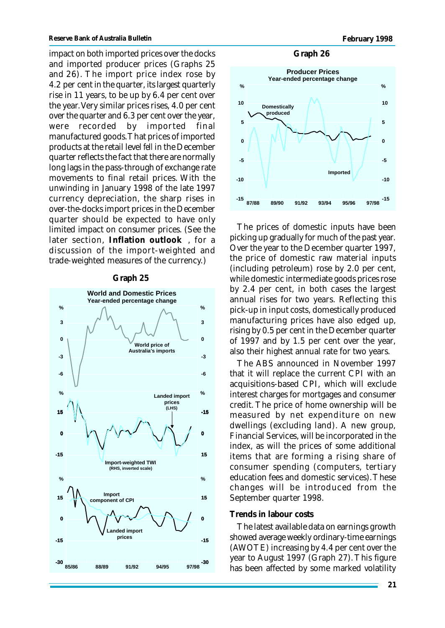impact on both imported prices over the docks and imported producer prices (Graphs 25 and 26). The import price index rose by 4.2 per cent in the quarter, its largest quarterly rise in 11 years, to be up by 6.4 per cent over the year. Very similar prices rises, 4.0 per cent over the quarter and 6.3 per cent over the year, were recorded by imported final manufactured goods. That prices of imported products at the retail level *fell* in the December quarter reflects the fact that there are normally long lags in the pass-through of exchange rate movements to final retail prices. With the unwinding in January 1998 of the late 1997 currency depreciation, the sharp rises in over-the-docks import prices in the December quarter should be expected to have only limited impact on consumer prices. (See the later section, **Inflation outlook** , for a discussion of the import-weighted and trade-weighted measures of the currency.)

#### **Graph 25**



## **Graph 26**



The prices of domestic inputs have been picking up gradually for much of the past year. Over the year to the December quarter 1997, the price of domestic raw material inputs (including petroleum) rose by 2.0 per cent, while domestic intermediate goods prices rose by 2.4 per cent, in both cases the largest annual rises for two years. Reflecting this pick-up in input costs, domestically produced manufacturing prices have also edged up, rising by 0.5 per cent in the December quarter of 1997 and by 1.5 per cent over the year, also their highest annual rate for two years.

The ABS announced in November 1997 that it will replace the current CPI with an acquisitions-based CPI, which will exclude interest charges for mortgages and consumer credit. The price of home ownership will be measured by net expenditure on new dwellings (excluding land). A new group, Financial Services, will be incorporated in the index, as will the prices of some additional items that are forming a rising share of consumer spending (computers, tertiary education fees and domestic services). These changes will be introduced from the September quarter 1998.

## **Trends in labour costs**

The latest available data on earnings growth showed average weekly ordinary-time earnings (AWOTE) increasing by 4.4 per cent over the year to August 1997 (Graph 27). This figure has been affected by some marked volatility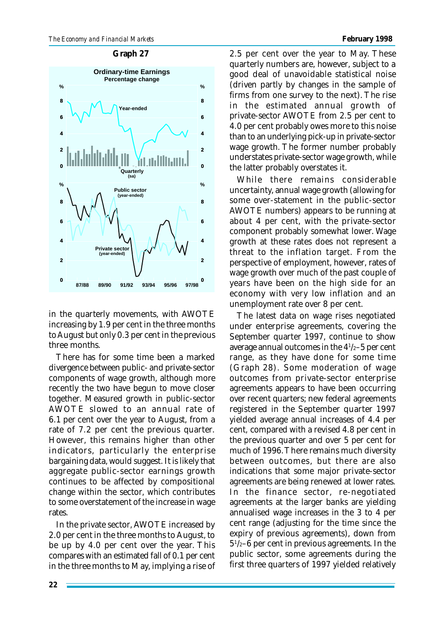#### **Graph 27**



in the quarterly movements, with AWOTE increasing by 1.9 per cent in the three months to August but only 0.3 per cent in the previous three months.

There has for some time been a marked divergence between public- and private-sector components of wage growth, although more recently the two have begun to move closer together. Measured growth in public-sector AWOTE slowed to an annual rate of 6.1 per cent over the year to August, from a rate of 7.2 per cent the previous quarter. However, this remains higher than other indicators, particularly the enterprise bargaining data, would suggest. It is likely that aggregate public-sector earnings growth continues to be affected by compositional change within the sector, which contributes to some overstatement of the increase in wage rates.

In the private sector, AWOTE increased by 2.0 per cent in the three months to August, to be up by 4.0 per cent over the year. This compares with an estimated fall of 0.1 per cent in the three months to May, implying a rise of 2.5 per cent over the year to May. These quarterly numbers are, however, subject to a good deal of unavoidable statistical noise (driven partly by changes in the sample of firms from one survey to the next). The rise in the estimated annual growth of private-sector AWOTE from 2.5 per cent to 4.0 per cent probably owes more to this noise than to an underlying pick-up in private-sector wage growth. The former number probably understates private-sector wage growth, while the latter probably overstates it.

While there remains considerable uncertainty, annual wage growth (allowing for some over-statement in the public-sector AWOTE numbers) appears to be running at about 4 per cent, with the private-sector component probably somewhat lower. Wage growth at these rates does not represent a threat to the inflation target. From the perspective of employment, however, rates of wage growth over much of the past couple of years have been on the high side for an economy with very low inflation and an unemployment rate over 8 per cent.

The latest data on wage rises negotiated under enterprise agreements, covering the September quarter 1997, continue to show average annual outcomes in the 4<sup>1</sup> /2–5 per cent range, as they have done for some time (Graph 28). Some moderation of wage outcomes from private-sector enterprise agreements appears to have been occurring over recent quarters; new federal agreements registered in the September quarter 1997 yielded average annual increases of 4.4 per cent, compared with a revised 4.8 per cent in the previous quarter and over 5 per cent for much of 1996. There remains much diversity between outcomes, but there are also indications that some major private-sector agreements are being renewed at lower rates. In the finance sector, re-negotiated agreements at the larger banks are yielding annualised wage increases in the 3 to 4 per cent range (adjusting for the time since the expiry of previous agreements), down from 5 1 /2–6 per cent in previous agreements. In the public sector, some agreements during the first three quarters of 1997 yielded relatively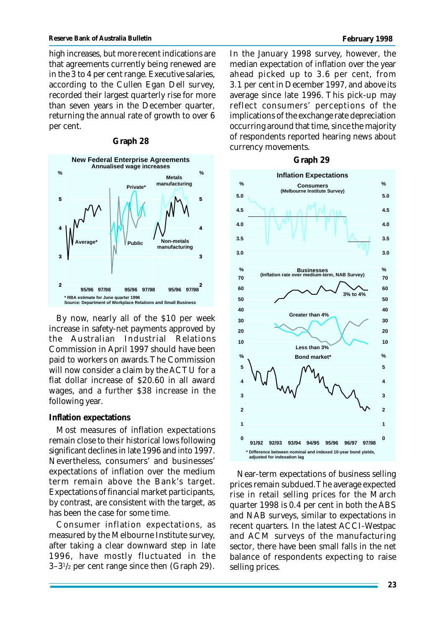high increases, but more recent indications are that agreements currently being renewed are in the 3 to 4 per cent range. Executive salaries, according to the Cullen Egan Dell survey, recorded their largest quarterly rise for more than seven years in the December quarter, returning the annual rate of growth to over 6 per cent.

#### **Graph 28**



By now, nearly all of the \$10 per week increase in safety-net payments approved by the Australian Industrial Relations Commission in April 1997 should have been paid to workers on awards. The Commission will now consider a claim by the ACTU for a flat dollar increase of \$20.60 in all award wages, and a further \$38 increase in the following year.

## **Inflation expectations**

Most measures of inflation expectations remain close to their historical lows following significant declines in late 1996 and into 1997. Nevertheless, consumers' and businesses' expectations of inflation over the medium term remain above the Bank's target. Expectations of financial market participants, by contrast, are consistent with the target, as has been the case for some time.

Consumer inflation expectations, as measured by the Melbourne Institute survey, after taking a clear downward step in late 1996, have mostly fluctuated in the  $3-3^{1/2}$  per cent range since then (Graph 29).

In the January 1998 survey, however, the median expectation of inflation over the year ahead picked up to 3.6 per cent, from 3.1 per cent in December 1997, and above its average since late 1996. This pick-up may reflect consumers' perceptions of the implications of the exchange rate depreciation occurring around that time, since the majority of respondents reported hearing news about currency movements.

#### **Graph 29**



Near-term expectations of business selling prices remain subdued. The average expected rise in retail selling prices for the March quarter 1998 is 0.4 per cent in both the ABS and NAB surveys, similar to expectations in recent quarters. In the latest ACCI-Westpac and ACM surveys of the manufacturing sector, there have been small falls in the net balance of respondents expecting to raise selling prices.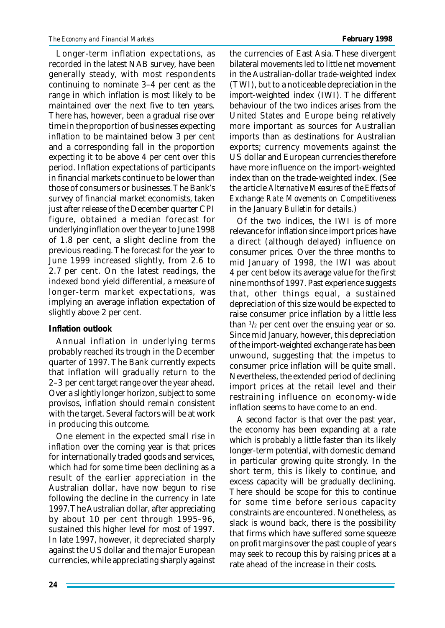Longer-term inflation expectations, as recorded in the latest NAB survey, have been generally steady, with most respondents continuing to nominate 3–4 per cent as the range in which inflation is most likely to be maintained over the next five to ten years. There has, however, been a gradual rise over time in the proportion of businesses expecting inflation to be maintained below 3 per cent and a corresponding fall in the proportion expecting it to be above 4 per cent over this period. Inflation expectations of participants in financial markets continue to be lower than those of consumers or businesses. The Bank's survey of financial market economists, taken just after release of the December quarter CPI figure, obtained a median forecast for underlying inflation over the year to June 1998 of 1.8 per cent, a slight decline from the previous reading. The forecast for the year to June 1999 increased slightly, from 2.6 to 2.7 per cent. On the latest readings, the indexed bond yield differential, a measure of longer-term market expectations, was implying an average inflation expectation of slightly above 2 per cent.

# **Inflation outlook**

Annual inflation in underlying terms probably reached its trough in the December quarter of 1997. The Bank currently expects that inflation will gradually return to the 2–3 per cent target range over the year ahead. Over a slightly longer horizon, subject to some provisos, inflation should remain consistent with the target. Several factors will be at work in producing this outcome.

One element in the expected small rise in inflation over the coming year is that prices for internationally traded goods and services, which had for some time been declining as a result of the earlier appreciation in the Australian dollar, have now begun to rise following the decline in the currency in late 1997. The Australian dollar, after appreciating by about 10 per cent through 1995–96, sustained this higher level for most of 1997. In late 1997, however, it depreciated sharply against the US dollar and the major European currencies, while appreciating sharply against

the currencies of East Asia. These divergent bilateral movements led to little net movement in the Australian-dollar *trade*-weighted index (TWI), but to a noticeable depreciation in the *import*-weighted index (IWI). The different behaviour of the two indices arises from the United States and Europe being relatively more important as sources for Australian imports than as destinations for Australian exports; currency movements against the US dollar and European currencies therefore have more influence on the import-weighted index than on the trade-weighted index. (See the article *Alternative Measures of the Effects of Exchange Rate Movements on Competitiveness* in the January *Bulletin* for details.)

Of the two indices, the IWI is of more relevance for inflation since import prices have a direct (although delayed) influence on consumer prices. Over the three months to mid January of 1998, the IWI was about 4 per cent below its average value for the first nine months of 1997. Past experience suggests that, other things equal, a sustained depreciation of this size would be expected to raise consumer price inflation by a little less than  $\frac{1}{2}$  per cent over the ensuing year or so. Since mid January, however, this depreciation of the import-weighted exchange rate has been unwound, suggesting that the impetus to consumer price inflation will be quite small. Nevertheless, the extended period of declining import prices at the retail level and their restraining influence on economy-wide inflation seems to have come to an end.

A second factor is that over the past year, the economy has been expanding at a rate which is probably a little faster than its likely longer-term potential, with domestic demand in particular growing quite strongly. In the short term, this is likely to continue, and excess capacity will be gradually declining. There should be scope for this to continue for some time before serious capacity constraints are encountered. Nonetheless, as slack is wound back, there is the possibility that firms which have suffered some squeeze on profit margins over the past couple of years may seek to recoup this by raising prices at a rate ahead of the increase in their costs.